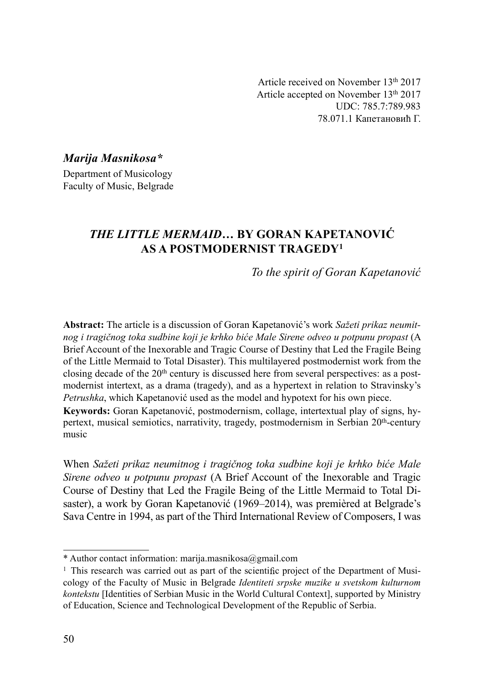Article received on November 13th 2017 Article accepted on November 13th 2017 UDC: 785.7:789.983 78.071.1 Капетановић Г.

Marija Masnikosa\* Department of Musicology Faculty of Music, Belgrade

# THE LITTLE MERMAID… BY GORAN KAPETANOVIĆ AS A POSTMODERNIST TRAGEDY1

To the spirit of Goran Kapetanović

Abstract: The article is a discussion of Goran Kapetanović's work Sažeti prikaz neumitnog i tragičnog toka sudbine koji je krhko biće Male Sirene odveo u potpunu propast (A Brief Account of the Inexorable and Tragic Course of Destiny that Led the Fragile Being of the Little Mermaid to Total Disaster). This multilayered postmodernist work from the closing decade of the  $20<sup>th</sup>$  century is discussed here from several perspectives: as a postmodernist intertext, as a drama (tragedy), and as a hypertext in relation to Stravinsky's Petrushka, which Kapetanović used as the model and hypotext for his own piece.

Keywords: Goran Kapetanović, postmodernism, collage, intertextual play of signs, hypertext, musical semiotics, narrativity, tragedy, postmodernism in Serbian 20<sup>th</sup>-century music

When Sažeti prikaz neumitnog i tragičnog toka sudbine koji je krhko biće Male Sirene odveo u potpunu propast (A Brief Account of the Inexorable and Tragic Course of Destiny that Led the Fragile Being of the Little Mermaid to Total Disaster), a work by Goran Kapetanović (1969–2014), was premièred at Belgrade's Sava Centre in 1994, as part of the Third International Review of Composers, I was

<sup>\*</sup> Author contact information: marija.masnikosa@gmail.com

<sup>&</sup>lt;sup>1</sup> This research was carried out as part of the scientific project of the Department of Musicology of the Faculty of Music in Belgrade Identiteti srpske muzike u svetskom kulturnom kontekstu [Identities of Serbian Music in the World Cultural Context], supported by Ministry of Education, Science and Technological Development of the Republic of Serbia.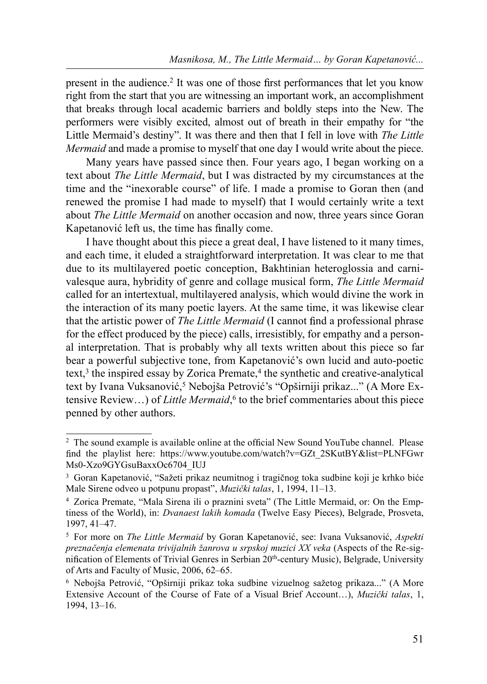present in the audience.<sup>2</sup> It was one of those first performances that let you know right from the start that you are witnessing an important work, an accomplishment that breaks through local academic barriers and boldly steps into the New. The performers were visibly excited, almost out of breath in their empathy for "the Little Mermaid's destiny". It was there and then that I fell in love with The Little Mermaid and made a promise to myself that one day I would write about the piece.

Many years have passed since then. Four years ago, I began working on a text about The Little Mermaid, but I was distracted by my circumstances at the time and the "inexorable course" of life. I made a promise to Goran then (and renewed the promise I had made to myself) that I would certainly write a text about *The Little Mermaid* on another occasion and now, three years since Goran Kapetanović left us, the time has finally come.

I have thought about this piece a great deal, I have listened to it many times, and each time, it eluded a straightforward interpretation. It was clear to me that due to its multilayered poetic conception, Bakhtinian heteroglossia and carnivalesque aura, hybridity of genre and collage musical form, The Little Mermaid called for an intertextual, multilayered analysis, which would divine the work in the interaction of its many poetic layers. At the same time, it was likewise clear that the artistic power of *The Little Mermaid* (I cannot find a professional phrase for the effect produced by the piece) calls, irresistibly, for empathy and a personal interpretation. That is probably why all texts written about this piece so far bear a powerful subjective tone, from Kapetanović's own lucid and auto-poetic text, $3$  the inspired essay by Zorica Premate, $4$  the synthetic and creative-analytical text by Ivana Vuksanović, 5 Nebojša Petrović's "Opširniji prikaz..." (A More Extensive Review…) of Little Mermaid, 6 to the brief commentaries about this piece penned by other authors.

<sup>&</sup>lt;sup>2</sup> The sound example is available online at the official New Sound YouTube channel. Please find the playlist here: https://www.youtube.com/watch?v=GZt\_2SKutBY&list=PLNFGwr Ms0-Xzo9GYGsuBaxxOc6704\_IUJ

<sup>3</sup> Goran Kapetanović, "Sažeti prikaz neumitnog i tragičnog toka sudbine koji je krhko biće Male Sirene odveo u potpunu propast", Muzički talas, 1, 1994, 11–13.

<sup>4</sup> Zorica Premate, "Mala Sirena ili o praznini sveta" (The Little Mermaid, or: On the Emptiness of the World), in: Dvanaest lakih komada (Twelve Easy Pieces), Belgrade, Prosveta, 1997, 41–47.

<sup>&</sup>lt;sup>5</sup> For more on *The Little Mermaid* by Goran Kapetanović, see: Ivana Vuksanović, Aspekti preznačenja elemenata trivijalnih žanrova u srpskoj muzici XX veka (Aspects of the Re-signification of Elements of Trivial Genres in Serbian 20<sup>th</sup>-century Music), Belgrade, University of Arts and Faculty of Music, 2006, 62–65.

<sup>6</sup> Nebojša Petrović, "Opširniji prikaz toka sudbine vizuelnog sažetog prikaza..." (A More Extensive Account of the Course of Fate of a Visual Brief Account…), Muzički talas, 1, 1994, 13–16.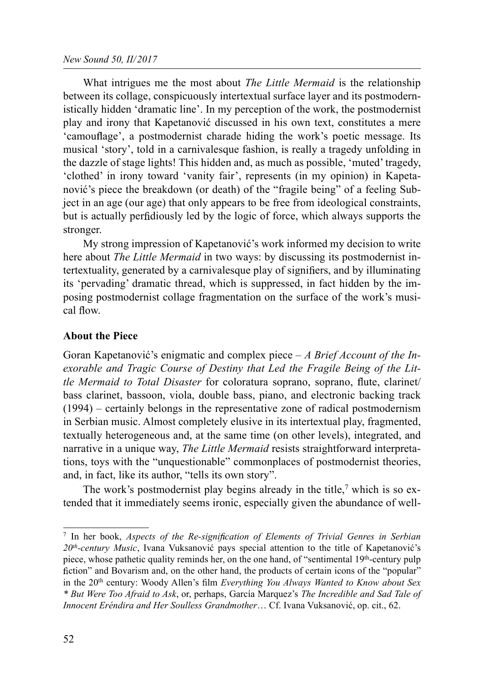What intrigues me the most about *The Little Mermaid* is the relationship between its collage, conspicuously intertextual surface layer and its postmodernistically hidden 'dramatic line'. In my perception of the work, the postmodernist play and irony that Kapetanović discussed in his own text, constitutes a mere 'camouflage', a postmodernist charade hiding the work's poetic message. Its musical 'story', told in a carnivalesque fashion, is really a tragedy unfolding in the dazzle of stage lights! This hidden and, as much as possible, 'muted' tragedy, 'clothed' in irony toward 'vanity fair', represents (in my opinion) in Kapetanović's piece the breakdown (or death) of the "fragile being" of a feeling Subject in an age (our age) that only appears to be free from ideological constraints, but is actually perfidiously led by the logic of force, which always supports the stronger.

My strong impression of Kapetanović's work informed my decision to write here about *The Little Mermaid* in two ways: by discussing its postmodernist intertextuality, generated by a carnivalesque play of signifiers, and by illuminating its 'pervading' dramatic thread, which is suppressed, in fact hidden by the imposing postmodernist collage fragmentation on the surface of the work's musical flow.

## About the Piece

Goran Kapetanović's enigmatic and complex piece  $-A$  Brief Account of the Inexorable and Tragic Course of Destiny that Led the Fragile Being of the Little Mermaid to Total Disaster for coloratura soprano, soprano, flute, clarinet/ bass clarinet, bassoon, viola, double bass, piano, and electronic backing track (1994) – certainly belongs in the representative zone of radical postmodernism in Serbian music. Almost completely elusive in its intertextual play, fragmented, textually heterogeneous and, at the same time (on other levels), integrated, and narrative in a unique way, *The Little Mermaid* resists straightforward interpretations, toys with the "unquestionable" commonplaces of postmodernist theories, and, in fact, like its author, "tells its own story".

The work's postmodernist play begins already in the title,<sup>7</sup> which is so extended that it immediately seems ironic, especially given the abundance of well-

 $7$  In her book, Aspects of the Re-signification of Elements of Trivial Genres in Serbian  $20<sup>th</sup>$ -century Music, Ivana Vuksanović pays special attention to the title of Kapetanović's piece, whose pathetic quality reminds her, on the one hand, of "sentimental 19th-century pulp fiction" and Bovarism and, on the other hand, the products of certain icons of the "popular" in the 20<sup>th</sup> century: Woody Allen's film Everything You Always Wanted to Know about Sex \* But Were Too Afraid to Ask, or, perhaps, García Marquez's The Incredible and Sad Tale of Innocent Eréndira and Her Soulless Grandmother… Cf. Ivana Vuksanović, op. cit., 62.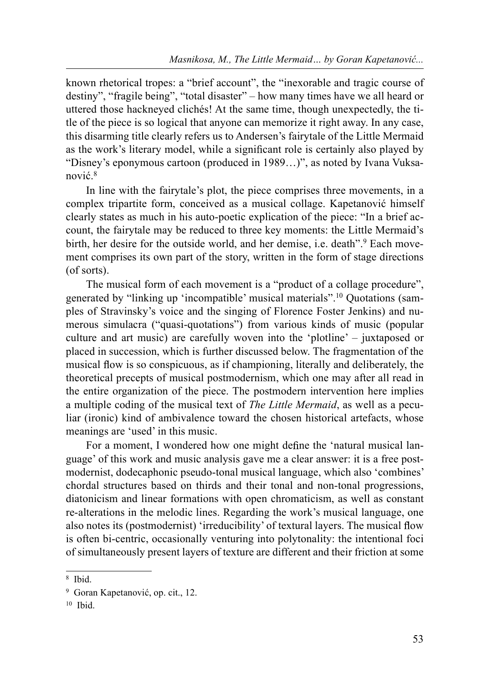known rhetorical tropes: a "brief account", the "inexorable and tragic course of destiny", "fragile being", "total disaster" – how many times have we all heard or uttered those hackneyed clichés! At the same time, though unexpectedly, the title of the piece is so logical that anyone can memorize it right away. In any case, this disarming title clearly refers us to Andersen's fairytale of the Little Mermaid as the work's literary model, while a significant role is certainly also played by "Disney's eponymous cartoon (produced in 1989…)", as noted by Ivana Vuksanović. 8

In line with the fairytale's plot, the piece comprises three movements, in a complex tripartite form, conceived as a musical collage. Kapetanović himself clearly states as much in his auto-poetic explication of the piece: "In a brief account, the fairytale may be reduced to three key moments: the Little Mermaid's birth, her desire for the outside world, and her demise, i.e. death".<sup>9</sup> Each movement comprises its own part of the story, written in the form of stage directions (of sorts).

The musical form of each movement is a "product of a collage procedure", generated by "linking up 'incompatible' musical materials".10 Quotations (samples of Stravinsky's voice and the singing of Florence Foster Jenkins) and numerous simulacra ("quasi-quotations") from various kinds of music (popular culture and art music) are carefully woven into the 'plotline' – juxtaposed or placed in succession, which is further discussed below. The fragmentation of the musical flow is so conspicuous, as if championing, literally and deliberately, the theoretical precepts of musical postmodernism, which one may after all read in the entire organization of the piece. The postmodern intervention here implies a multiple coding of the musical text of The Little Mermaid, as well as a peculiar (ironic) kind of ambivalence toward the chosen historical artefacts, whose meanings are 'used' in this music.

For a moment, I wondered how one might define the 'natural musical language' of this work and music analysis gave me a clear answer: it is a free postmodernist, dodecaphonic pseudo-tonal musical language, which also 'combines' chordal structures based on thirds and their tonal and non-tonal progressions, diatonicism and linear formations with open chromaticism, as well as constant re-alterations in the melodic lines. Regarding the work's musical language, one also notes its (postmodernist) 'irreducibility' of textural layers. The musical flow is often bi-centric, occasionally venturing into polytonality: the intentional foci of simultaneously present layers of texture are different and their friction at some

<sup>8</sup> Ibid.

<sup>9</sup> Goran Kapetanović, op. cit., 12.

 $10$  Ibid.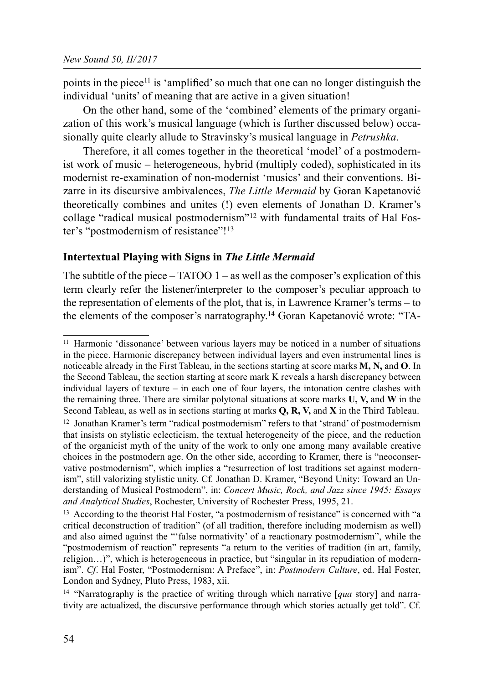points in the piece<sup>11</sup> is 'amplified' so much that one can no longer distinguish the individual 'units' of meaning that are active in a given situation!

On the other hand, some of the 'combined' elements of the primary organization of this work's musical language (which is further discussed below) occasionally quite clearly allude to Stravinsky's musical language in *Petrushka*.

Therefore, it all comes together in the theoretical 'model' of a postmodernist work of music – heterogeneous, hybrid (multiply coded), sophisticated in its modernist re-examination of non-modernist 'musics' and their conventions. Bizarre in its discursive ambivalences, *The Little Mermaid* by Goran Kapetanović theoretically combines and unites (!) even elements of Jonathan D. Kramer's collage "radical musical postmodernism"12 with fundamental traits of Hal Foster's "postmodernism of resistance"!13

## Intertextual Playing with Signs in The Little Mermaid

The subtitle of the piece  $-$  TATOO 1 – as well as the composer's explication of this term clearly refer the listener/interpreter to the composer's peculiar approach to the representation of elements of the plot, that is, in Lawrence Kramer's terms – to the elements of the composer's narratography.14 Goran Kapetanović wrote: "TA-

<sup>&</sup>lt;sup>11</sup> Harmonic 'dissonance' between various layers may be noticed in a number of situations in the piece. Harmonic discrepancy between individual layers and even instrumental lines is noticeable already in the First Tableau, in the sections starting at score marks **M, N, and O**. In the Second Tableau, the section starting at score mark K reveals a harsh discrepancy between individual layers of texture – in each one of four layers, the intonation centre clashes with the remaining three. There are similar polytonal situations at score marks  $U, V,$  and  $W$  in the Second Tableau, as well as in sections starting at marks  $Q$ ,  $R$ ,  $V$ , and  $X$  in the Third Tableau.  $12$  Jonathan Kramer's term "radical postmodernism" refers to that 'strand' of postmodernism that insists on stylistic eclecticism, the textual heterogeneity of the piece, and the reduction of the organicist myth of the unity of the work to only one among many available creative choices in the postmodern age. On the other side, according to Kramer, there is "neoconservative postmodernism", which implies a "resurrection of lost traditions set against modernism", still valorizing stylistic unity. Cf. Jonathan D. Kramer, "Beyond Unity: Toward an Understanding of Musical Postmodern", in: Concert Music, Rock, and Jazz since 1945: Essays and Analytical Studies, Rochester, University of Rochester Press, 1995, 21.

 $13$  According to the theorist Hal Foster, "a postmodernism of resistance" is concerned with "a critical deconstruction of tradition" (of all tradition, therefore including modernism as well) and also aimed against the "'false normativity' of a reactionary postmodernism", while the "postmodernism of reaction" represents "a return to the verities of tradition (in art, family, religion…)", which is heterogeneous in practice, but "singular in its repudiation of modernism". Cf. Hal Foster, "Postmodernism: A Preface", in: Postmodern Culture, ed. Hal Foster, London and Sydney, Pluto Press, 1983, xii.

<sup>&</sup>lt;sup>14</sup> "Narratography is the practice of writing through which narrative  $[qua story]$  and narrativity are actualized, the discursive performance through which stories actually get told". Cf.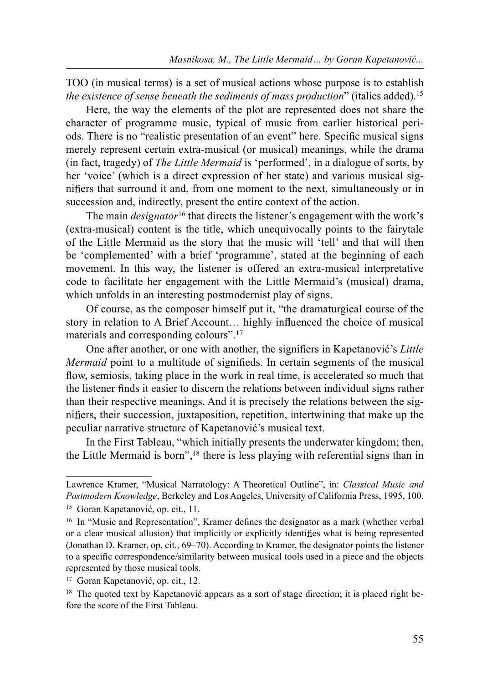TOO (in musical terms) is a set of musical actions whose purpose is to establish the existence of sense beneath the sediments of mass production" (italics added).<sup>15</sup>

Here, the way the elements of the plot are represented does not share the character of programme music, typical of music from earlier historical periods. There is no "realistic presentation of an event" here. Specific musical signs merely represent certain extra-musical (or musical) meanings, while the drama (in fact, tragedy) of The Little Mermaid is 'performed', in a dialogue of sorts, by her 'voice' (which is a direct expression of her state) and various musical signifiers that surround it and, from one moment to the next, simultaneously or in succession and, indirectly, present the entire context of the action.

The main *designator*<sup>16</sup> that directs the listener's engagement with the work's (extra-musical) content is the title, which unequivocally points to the fairytale of the Little Mermaid as the story that the music will 'tell' and that will then be 'complemented' with a brief 'programme', stated at the beginning of each movement. In this way, the listener is offered an extra-musical interpretative code to facilitate her engagement with the Little Mermaid's (musical) drama, which unfolds in an interesting postmodernist play of signs.

Of course, as the composer himself put it, "the dramaturgical course of the story in relation to A Brief Account... highly influenced the choice of musical materials and corresponding colours".17

One after another, or one with another, the signifiers in Kapetanović's Little Mermaid point to a multitude of signifieds. In certain segments of the musical flow, semiosis, taking place in the work in real time, is accelerated so much that the listener finds it easier to discern the relations between individual signs rather than their respective meanings. And it is precisely the relations between the signifiers, their succession, juxtaposition, repetition, intertwining that make up the peculiar narrative structure of Kapetanović's musical text.

In the First Tableau, "which initially presents the underwater kingdom; then, the Little Mermaid is born",18 there is less playing with referential signs than in

Lawrence Kramer, "Musical Narratology: A Theoretical Outline", in: Classical Music and Postmodern Knowledge, Berkeley and Los Angeles, University of California Press, 1995, 100. 15 Goran Kapetanović, op. cit., 11.

<sup>&</sup>lt;sup>16</sup> In "Music and Representation", Kramer defines the designator as a mark (whether verbal or a clear musical allusion) that implicitly or explicitly identifies what is being represented (Jonathan D. Kramer, op. cit., 69–70). According to Kramer, the designator points the listener to a specific correspondence/similarity between musical tools used in a piece and the objects represented by those musical tools.

<sup>17</sup> Goran Kapetanović, op. cit., 12.

<sup>&</sup>lt;sup>18</sup> The quoted text by Kapetanović appears as a sort of stage direction; it is placed right before the score of the First Tableau.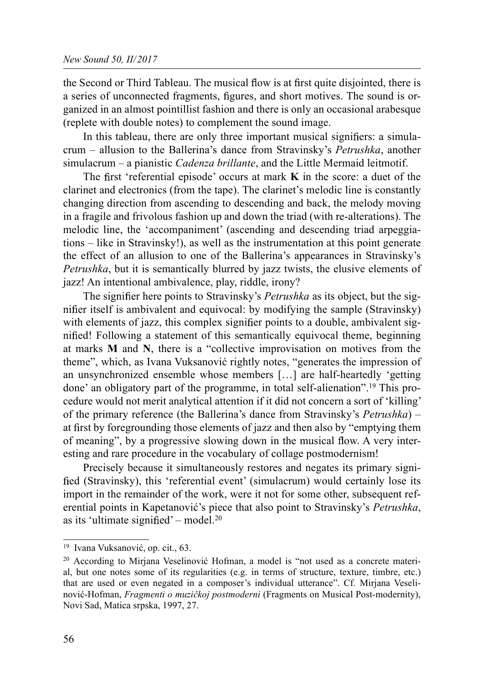the Second or Third Tableau. The musical flow is at first quite disjointed, there is a series of unconnected fragments, figures, and short motives. The sound is organized in an almost pointillist fashion and there is only an occasional arabesque (replete with double notes) to complement the sound image.

In this tableau, there are only three important musical signifiers: a simulacrum – allusion to the Ballerina's dance from Stravinsky's *Petrushka*, another simulacrum – a pianistic *Cadenza brillante*, and the Little Mermaid leitmotif.

The first 'referential episode' occurs at mark  $K$  in the score: a duet of the clarinet and electronics (from the tape). The clarinet's melodic line is constantly changing direction from ascending to descending and back, the melody moving in a fragile and frivolous fashion up and down the triad (with re-alterations). The melodic line, the 'accompaniment' (ascending and descending triad arpeggiations – like in Stravinsky!), as well as the instrumentation at this point generate the effect of an allusion to one of the Ballerina's appearances in Stravinsky's Petrushka, but it is semantically blurred by jazz twists, the elusive elements of jazz! An intentional ambivalence, play, riddle, irony?

The signifier here points to Stravinsky's *Petrushka* as its object, but the signifier itself is ambivalent and equivocal: by modifying the sample (Stravinsky) with elements of jazz, this complex signifier points to a double, ambivalent signified! Following a statement of this semantically equivocal theme, beginning at marks M and N, there is a "collective improvisation on motives from the theme", which, as Ivana Vuksanović rightly notes, "generates the impression of an unsynchronized ensemble whose members […] are half-heartedly 'getting done' an obligatory part of the programme, in total self-alienation".19 This procedure would not merit analytical attention if it did not concern a sort of 'killing' of the primary reference (the Ballerina's dance from Stravinsky's *Petrushka*) – at first by foregrounding those elements of jazz and then also by "emptying them of meaning", by a progressive slowing down in the musical flow. A very interesting and rare procedure in the vocabulary of collage postmodernism!

Precisely because it simultaneously restores and negates its primary signi fied (Stravinsky), this 'referential event' (simulacrum) would certainly lose its import in the remainder of the work, were it not for some other, subsequent referential points in Kapetanović's piece that also point to Stravinsky's Petrushka, as its 'ultimate signified' – model.<sup>20</sup>

<sup>19</sup> Ivana Vuksanović, op. cit., 63.

<sup>20</sup> According to Mirjana Veselinović Hofman, a model is "not used as a concrete material, but one notes some of its regularities (e.g. in terms of structure, texture, timbre, etc.) that are used or even negated in a composer's individual utterance". Cf. Mirjana Veselinović-Hofman, *Fragmenti o muzičkoj postmoderni* (Fragments on Musical Post-modernity), Novi Sad, Matica srpska, 1997, 27.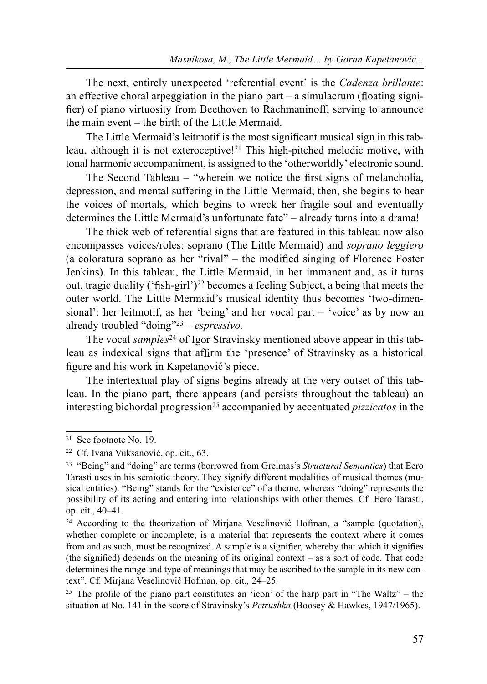The next, entirely unexpected 'referential event' is the Cadenza brillante: an effective choral arpeggiation in the piano part  $-$  a simulacrum (floating signifier) of piano virtuosity from Beethoven to Rachmaninoff, serving to announce the main event – the birth of the Little Mermaid.

The Little Mermaid's leitmotif is the most significant musical sign in this tableau, although it is not exteroceptive!21 This high-pitched melodic motive, with tonal harmonic accompaniment, is assigned to the 'otherworldly' electronic sound.

The Second Tableau – "wherein we notice the first signs of melancholia, depression, and mental suffering in the Little Mermaid; then, she begins to hear the voices of mortals, which begins to wreck her fragile soul and eventually determines the Little Mermaid's unfortunate fate" – already turns into a drama!

The thick web of referential signs that are featured in this tableau now also encompasses voices/roles: soprano (The Little Mermaid) and soprano leggiero (a coloratura soprano as her "rival" – the modified singing of Florence Foster Jenkins). In this tableau, the Little Mermaid, in her immanent and, as it turns out, tragic duality ('fish-girl')<sup>22</sup> becomes a feeling Subject, a being that meets the outer world. The Little Mermaid's musical identity thus becomes 'two-dimensional': her leitmotif, as her 'being' and her vocal part – 'voice' as by now an already troubled "doing"23 – espressivo.

The vocal samples<sup>24</sup> of Igor Stravinsky mentioned above appear in this tableau as indexical signs that affirm the 'presence' of Stravinsky as a historical figure and his work in Kapetanović's piece.

The intertextual play of signs begins already at the very outset of this tableau. In the piano part, there appears (and persists throughout the tableau) an interesting bichordal progression<sup>25</sup> accompanied by accentuated *pizzicatos* in the

<sup>21</sup> See footnote No. 19.

<sup>22</sup> Cf. Ivana Vuksanović, op. cit., 63.

<sup>&</sup>lt;sup>23</sup> "Being" and "doing" are terms (borrowed from Greimas's *Structural Semantics*) that Eero Tarasti uses in his semiotic theory. They signify different modalities of musical themes (musical entities). "Being" stands for the "existence" of a theme, whereas "doing" represents the possibility of its acting and entering into relationships with other themes. Cf. Eero Tarasti, op. cit., 40–41.

 $24$  According to the theorization of Mirjana Veselinović Hofman, a "sample (quotation), whether complete or incomplete, is a material that represents the context where it comes from and as such, must be recognized. A sample is a signifier, whereby that which it signifies (the signified) depends on the meaning of its original context – as a sort of code. That code determines the range and type of meanings that may be ascribed to the sample in its new context". Cf. Mirjana Veselinović Hofman, op. cit., 24–25.

<sup>&</sup>lt;sup>25</sup> The profile of the piano part constitutes an 'icon' of the harp part in "The Waltz" – the situation at No. 141 in the score of Stravinsky's Petrushka (Boosey & Hawkes, 1947/1965).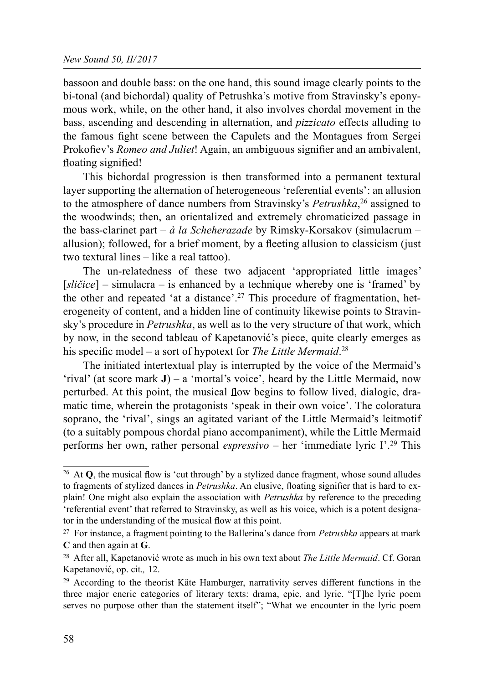bassoon and double bass: on the one hand, this sound image clearly points to the bi-tonal (and bichordal) quality of Petrushka's motive from Stravinsky's eponymous work, while, on the other hand, it also involves chordal movement in the bass, ascending and descending in alternation, and *pizzicato* effects alluding to the famous fight scene between the Capulets and the Montagues from Sergei Prokofiev's *Romeo and Juliet!* Again, an ambiguous signifier and an ambivalent, floating signified!

This bichordal progression is then transformed into a permanent textural layer supporting the alternation of heterogeneous 'referential events': an allusion to the atmosphere of dance numbers from Stravinsky's *Petrushka*<sup>26</sup> assigned to the woodwinds; then, an orientalized and extremely chromaticized passage in the bass-clarinet part –  $\dot{a}$  la Scheherazade by Rimsky-Korsakov (simulacrum – allusion); followed, for a brief moment, by a fleeting allusion to classicism (just two textural lines – like a real tattoo).

The un-relatedness of these two adjacent 'appropriated little images'  $[sličice]$  – simulacra – is enhanced by a technique whereby one is 'framed' by the other and repeated 'at a distance'.27 This procedure of fragmentation, heterogeneity of content, and a hidden line of continuity likewise points to Stravinsky's procedure in *Petrushka*, as well as to the very structure of that work, which by now, in the second tableau of Kapetanović's piece, quite clearly emerges as his specific model – a sort of hypotext for *The Little Mermaid*.<sup>28</sup>

The initiated intertextual play is interrupted by the voice of the Mermaid's 'rival' (at score mark  $J$ ) – a 'mortal's voice', heard by the Little Mermaid, now perturbed. At this point, the musical flow begins to follow lived, dialogic, dramatic time, wherein the protagonists 'speak in their own voice'. The coloratura soprano, the 'rival', sings an agitated variant of the Little Mermaid's leitmotif (to a suitably pompous chordal piano accompaniment), while the Little Mermaid performs her own, rather personal espressivo – her 'immediate lyric I'.29 This

<sup>&</sup>lt;sup>26</sup> At  $Q$ , the musical flow is 'cut through' by a stylized dance fragment, whose sound alludes to fragments of stylized dances in Petrushka. An elusive, floating signifier that is hard to explain! One might also explain the association with *Petrushka* by reference to the preceding 'referential event' that referred to Stravinsky, as well as his voice, which is a potent designator in the understanding of the musical flow at this point.

<sup>&</sup>lt;sup>27</sup> For instance, a fragment pointing to the Ballerina's dance from *Petrushka* appears at mark C and then again at G.

<sup>&</sup>lt;sup>28</sup> After all, Kapetanović wrote as much in his own text about *The Little Mermaid*. Cf. Goran Kapetanović, op. cit., 12.

<sup>29</sup> According to the theorist Käte Hamburger, narrativity serves different functions in the three major eneric categories of literary texts: drama, epic, and lyric. "[T]he lyric poem serves no purpose other than the statement itself"; "What we encounter in the lyric poem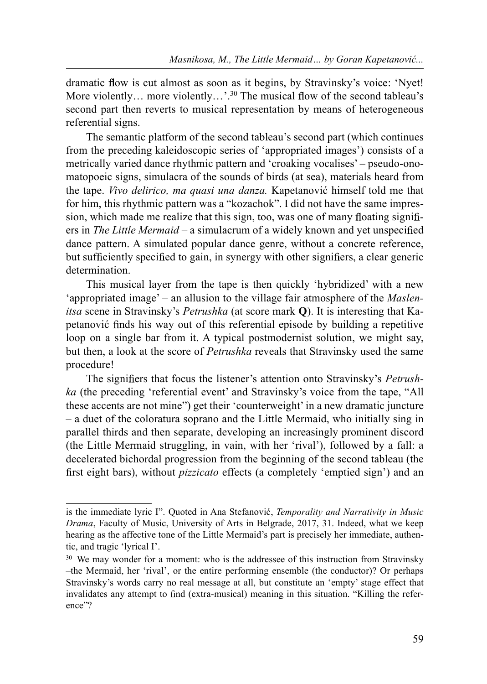dramatic flow is cut almost as soon as it begins, by Stravinsky's voice: 'Nyet! More violently... more violently...'.<sup>30</sup> The musical flow of the second tableau's second part then reverts to musical representation by means of heterogeneous referential signs.

The semantic platform of the second tableau's second part (which continues from the preceding kaleidoscopic series of 'appropriated images') consists of a metrically varied dance rhythmic pattern and 'croaking vocalises' – pseudo-onomatopoeic signs, simulacra of the sounds of birds (at sea), materials heard from the tape. Vivo delirico, ma quasi una danza. Kapetanović himself told me that for him, this rhythmic pattern was a "kozachok". I did not have the same impression, which made me realize that this sign, too, was one of many floating signifiers in The Little Mermaid – a simulacrum of a widely known and yet unspecified dance pattern. A simulated popular dance genre, without a concrete reference, but sufficiently specified to gain, in synergy with other signifiers, a clear generic determination.

This musical layer from the tape is then quickly 'hybridized' with a new 'appropriated image' – an allusion to the village fair atmosphere of the Maslenitsa scene in Stravinsky's Petrushka (at score mark Q). It is interesting that Kapetanović finds his way out of this referential episode by building a repetitive loop on a single bar from it. A typical postmodernist solution, we might say, but then, a look at the score of Petrushka reveals that Stravinsky used the same procedure!

The signifiers that focus the listener's attention onto Stravinsky's Petrushka (the preceding 'referential event' and Stravinsky's voice from the tape, "All these accents are not mine") get their 'counterweight' in a new dramatic juncture – a duet of the coloratura soprano and the Little Mermaid, who initially sing in parallel thirds and then separate, developing an increasingly prominent discord (the Little Mermaid struggling, in vain, with her 'rival'), followed by a fall: a decelerated bichordal progression from the beginning of the second tableau (the first eight bars), without *pizzicato* effects (a completely 'emptied sign') and an

is the immediate lyric I". Quoted in Ana Stefanović, Temporality and Narrativity in Music Drama, Faculty of Music, University of Arts in Belgrade, 2017, 31. Indeed, what we keep hearing as the affective tone of the Little Mermaid's part is precisely her immediate, authentic, and tragic 'lyrical I'.

<sup>&</sup>lt;sup>30</sup> We may wonder for a moment: who is the addressee of this instruction from Stravinsky –the Mermaid, her 'rival', or the entire performing ensemble (the conductor)? Or perhaps Stravinsky's words carry no real message at all, but constitute an 'empty' stage effect that invalidates any attempt to find (extra-musical) meaning in this situation. "Killing the reference"?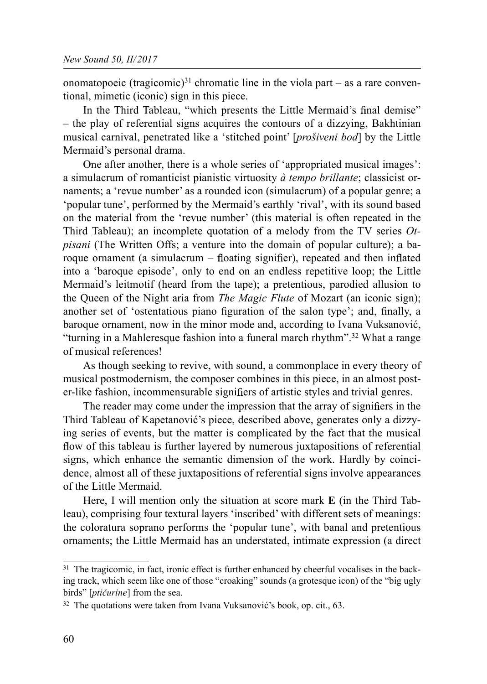onomatopoeic (tragicomic)<sup>31</sup> chromatic line in the viola part – as a rare conventional, mimetic (iconic) sign in this piece.

In the Third Tableau, "which presents the Little Mermaid's final demise" – the play of referential signs acquires the contours of a dizzying, Bakhtinian musical carnival, penetrated like a 'stitched point' [prošiveni bod] by the Little Mermaid's personal drama.

One after another, there is a whole series of 'appropriated musical images': a simulacrum of romanticist pianistic virtuosity  $\dot{a}$  tempo brillante; classicist ornaments; a 'revue number' as a rounded icon (simulacrum) of a popular genre; a 'popular tune', performed by the Mermaid's earthly 'rival', with its sound based on the material from the 'revue number' (this material is often repeated in the Third Tableau); an incomplete quotation of a melody from the TV series  $Ot$ pisani (The Written Offs; a venture into the domain of popular culture); a baroque ornament (a simulacrum  $-$  floating signifier), repeated and then inflated into a 'baroque episode', only to end on an endless repetitive loop; the Little Mermaid's leitmotif (heard from the tape); a pretentious, parodied allusion to the Queen of the Night aria from *The Magic Flute* of Mozart (an iconic sign); another set of 'ostentatious piano figuration of the salon type'; and, finally, a baroque ornament, now in the minor mode and, according to Ivana Vuksanović, "turning in a Mahleresque fashion into a funeral march rhythm".<sup>32</sup> What a range of musical references!

As though seeking to revive, with sound, a commonplace in every theory of musical postmodernism, the composer combines in this piece, in an almost poster-like fashion, incommensurable signifiers of artistic styles and trivial genres.

The reader may come under the impression that the array of signifiers in the Third Tableau of Kapetanović's piece, described above, generates only a dizzying series of events, but the matter is complicated by the fact that the musical flow of this tableau is further layered by numerous juxtapositions of referential signs, which enhance the semantic dimension of the work. Hardly by coincidence, almost all of these juxtapositions of referential signs involve appearances of the Little Mermaid.

Here, I will mention only the situation at score mark **E** (in the Third Tableau), comprising four textural layers 'inscribed' with different sets of meanings: the coloratura soprano performs the 'popular tune', with banal and pretentious ornaments; the Little Mermaid has an understated, intimate expression (a direct

<sup>&</sup>lt;sup>31</sup> The tragicomic, in fact, ironic effect is further enhanced by cheerful vocalises in the backing track, which seem like one of those "croaking" sounds (a grotesque icon) of the "big ugly birds" [*ptičurine*] from the sea.

<sup>&</sup>lt;sup>32</sup> The quotations were taken from Ivana Vuksanović's book, op. cit., 63.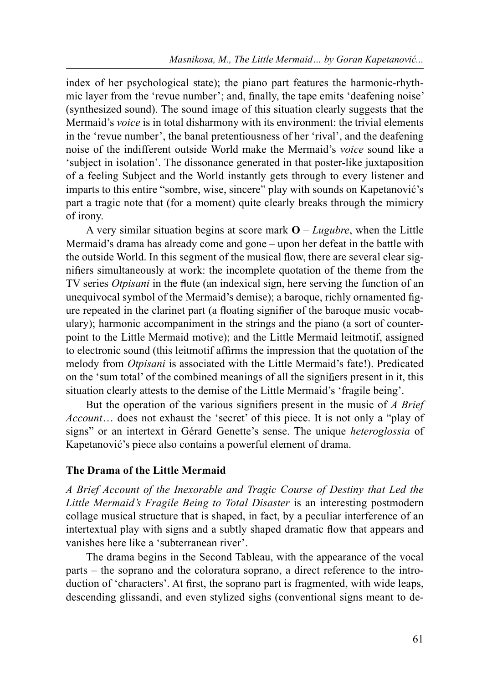index of her psychological state); the piano part features the harmonic-rhythmic layer from the 'revue number'; and, finally, the tape emits 'deafening noise' (synthesized sound). The sound image of this situation clearly suggests that the Mermaid's *voice* is in total disharmony with its environment: the trivial elements in the 'revue number', the banal pretentiousness of her 'rival', and the deafening noise of the indifferent outside World make the Mermaid's voice sound like a 'subject in isolation'. The dissonance generated in that poster-like juxtaposition of a feeling Subject and the World instantly gets through to every listener and imparts to this entire "sombre, wise, sincere" play with sounds on Kapetanović's part a tragic note that (for a moment) quite clearly breaks through the mimicry of irony.

A very similar situation begins at score mark  $O - \text{Lugubre}$ , when the Little Mermaid's drama has already come and gone – upon her defeat in the battle with the outside World. In this segment of the musical flow, there are several clear signifiers simultaneously at work: the incomplete quotation of the theme from the TV series *Otpisani* in the flute (an indexical sign, here serving the function of an unequivocal symbol of the Mermaid's demise); a baroque, richly ornamented gure repeated in the clarinet part (a floating signifier of the baroque music vocabulary); harmonic accompaniment in the strings and the piano (a sort of counterpoint to the Little Mermaid motive); and the Little Mermaid leitmotif, assigned to electronic sound (this leitmotif affirms the impression that the quotation of the melody from *Otpisani* is associated with the Little Mermaid's fate!). Predicated on the 'sum total' of the combined meanings of all the signifiers present in it, this situation clearly attests to the demise of the Little Mermaid's 'fragile being'.

But the operation of the various signifiers present in the music of  $A$  Brief Account... does not exhaust the 'secret' of this piece. It is not only a "play of signs" or an intertext in Gérard Genette's sense. The unique heteroglossia of Kapetanović's piece also contains a powerful element of drama.

### The Drama of the Little Mermaid

A Brief Account of the Inexorable and Tragic Course of Destiny that Led the Little Mermaid's Fragile Being to Total Disaster is an interesting postmodern collage musical structure that is shaped, in fact, by a peculiar interference of an intertextual play with signs and a subtly shaped dramatic flow that appears and vanishes here like a 'subterranean river'.

The drama begins in the Second Tableau, with the appearance of the vocal parts – the soprano and the coloratura soprano, a direct reference to the introduction of 'characters'. At first, the soprano part is fragmented, with wide leaps, descending glissandi, and even stylized sighs (conventional signs meant to de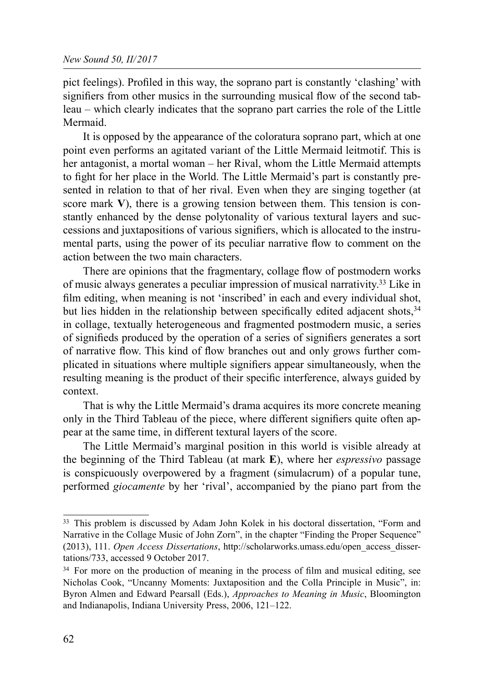pict feelings). Profiled in this way, the soprano part is constantly 'clashing' with signifiers from other musics in the surrounding musical flow of the second tableau – which clearly indicates that the soprano part carries the role of the Little Mermaid.

It is opposed by the appearance of the coloratura soprano part, which at one point even performs an agitated variant of the Little Mermaid leitmotif. This is her antagonist, a mortal woman – her Rival, whom the Little Mermaid attempts to fight for her place in the World. The Little Mermaid's part is constantly presented in relation to that of her rival. Even when they are singing together (at score mark **V**), there is a growing tension between them. This tension is constantly enhanced by the dense polytonality of various textural layers and successions and juxtapositions of various signifiers, which is allocated to the instrumental parts, using the power of its peculiar narrative flow to comment on the action between the two main characters.

There are opinions that the fragmentary, collage flow of postmodern works of music always generates a peculiar impression of musical narrativity.33 Like in film editing, when meaning is not 'inscribed' in each and every individual shot, but lies hidden in the relationship between specifically edited adjacent shots,  $34$ in collage, textually heterogeneous and fragmented postmodern music, a series of signifieds produced by the operation of a series of signifiers generates a sort of narrative flow. This kind of flow branches out and only grows further complicated in situations where multiple signifiers appear simultaneously, when the resulting meaning is the product of their specific interference, always guided by context.

That is why the Little Mermaid's drama acquires its more concrete meaning only in the Third Tableau of the piece, where different signifiers quite often appear at the same time, in different textural layers of the score.

The Little Mermaid's marginal position in this world is visible already at the beginning of the Third Tableau (at mark **E**), where her *espressivo* passage is conspicuously overpowered by a fragment (simulacrum) of a popular tune, performed *giocamente* by her 'rival', accompanied by the piano part from the

<sup>33</sup> This problem is discussed by Adam John Kolek in his doctoral dissertation, "Form and Narrative in the Collage Music of John Zorn", in the chapter "Finding the Proper Sequence" (2013), 111. *Open Access Dissertations*, http://scholarworks.umass.edu/open\_access\_dissertations/733, accessed 9 October 2017.

<sup>&</sup>lt;sup>34</sup> For more on the production of meaning in the process of film and musical editing, see Nicholas Cook, "Uncanny Moments: Juxtaposition and the Colla Principle in Music", in: Byron Almen and Edward Pearsall (Eds.), *Approaches to Meaning in Music*, Bloomington and Indianapolis, Indiana University Press, 2006, 121–122.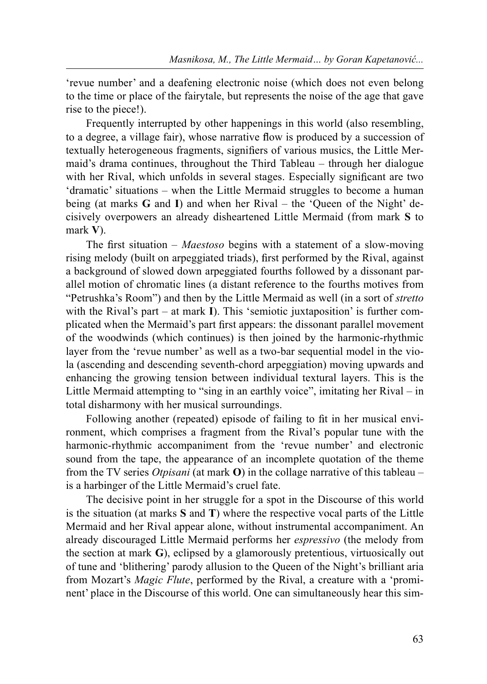'revue number' and a deafening electronic noise (which does not even belong to the time or place of the fairytale, but represents the noise of the age that gave rise to the piece!).

Frequently interrupted by other happenings in this world (also resembling, to a degree, a village fair), whose narrative flow is produced by a succession of textually heterogeneous fragments, signifiers of various musics, the Little Mermaid's drama continues, throughout the Third Tableau – through her dialogue with her Rival, which unfolds in several stages. Especially significant are two 'dramatic' situations – when the Little Mermaid struggles to become a human being (at marks G and I) and when her Rival – the 'Queen of the Night' decisively overpowers an already disheartened Little Mermaid (from mark S to mark V).

The first situation – *Maestoso* begins with a statement of a slow-moving rising melody (built on arpeggiated triads), first performed by the Rival, against a background of slowed down arpeggiated fourths followed by a dissonant parallel motion of chromatic lines (a distant reference to the fourths motives from "Petrushka's Room") and then by the Little Mermaid as well (in a sort of stretto with the Rival's part – at mark  $\Gamma$ ). This 'semiotic juxtaposition' is further complicated when the Mermaid's part first appears: the dissonant parallel movement of the woodwinds (which continues) is then joined by the harmonic-rhythmic layer from the 'revue number' as well as a two-bar sequential model in the viola (ascending and descending seventh-chord arpeggiation) moving upwards and enhancing the growing tension between individual textural layers. This is the Little Mermaid attempting to "sing in an earthly voice", imitating her Rival – in total disharmony with her musical surroundings.

Following another (repeated) episode of failing to fit in her musical environment, which comprises a fragment from the Rival's popular tune with the harmonic-rhythmic accompaniment from the 'revue number' and electronic sound from the tape, the appearance of an incomplete quotation of the theme from the TV series *Otpisani* (at mark **O**) in the collage narrative of this tableau – is a harbinger of the Little Mermaid's cruel fate.

The decisive point in her struggle for a spot in the Discourse of this world is the situation (at marks S and T) where the respective vocal parts of the Little Mermaid and her Rival appear alone, without instrumental accompaniment. An already discouraged Little Mermaid performs her espressivo (the melody from the section at mark G), eclipsed by a glamorously pretentious, virtuosically out of tune and 'blithering' parody allusion to the Queen of the Night's brilliant aria from Mozart's Magic Flute, performed by the Rival, a creature with a 'prominent' place in the Discourse of this world. One can simultaneously hear this sim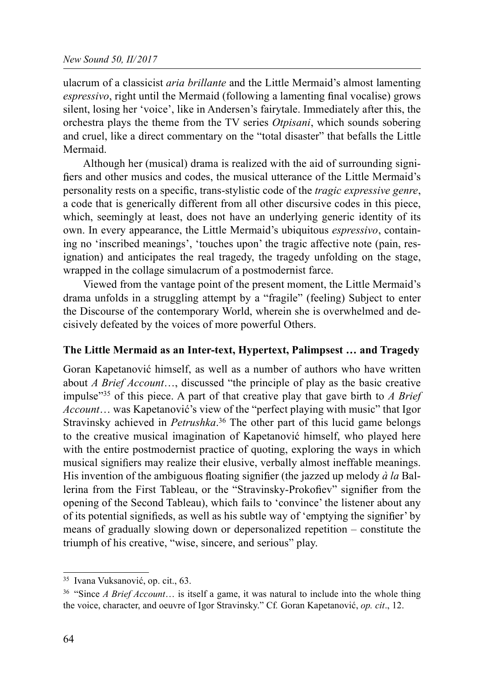ulacrum of a classicist *aria brillante* and the Little Mermaid's almost lamenting espressivo, right until the Mermaid (following a lamenting final vocalise) grows silent, losing her 'voice', like in Andersen's fairytale. Immediately after this, the orchestra plays the theme from the TV series *Otpisani*, which sounds sobering and cruel, like a direct commentary on the "total disaster" that befalls the Little Mermaid.

Although her (musical) drama is realized with the aid of surrounding signi fiers and other musics and codes, the musical utterance of the Little Mermaid's personality rests on a specific, trans-stylistic code of the *tragic expressive genre*, a code that is generically different from all other discursive codes in this piece, which, seemingly at least, does not have an underlying generic identity of its own. In every appearance, the Little Mermaid's ubiquitous *espressivo*, containing no 'inscribed meanings', 'touches upon' the tragic affective note (pain, resignation) and anticipates the real tragedy, the tragedy unfolding on the stage, wrapped in the collage simulacrum of a postmodernist farce.

Viewed from the vantage point of the present moment, the Little Mermaid's drama unfolds in a struggling attempt by a "fragile" (feeling) Subject to enter the Discourse of the contemporary World, wherein she is overwhelmed and decisively defeated by the voices of more powerful Others.

## The Little Mermaid as an Inter-text, Hypertext, Palimpsest … and Tragedy

Goran Kapetanović himself, as well as a number of authors who have written about A Brief Account…, discussed "the principle of play as the basic creative impulse<sup>335</sup> of this piece. A part of that creative play that gave birth to A Brief Account… was Kapetanović's view of the "perfect playing with music" that Igor Stravinsky achieved in *Petrushka*.<sup>36</sup> The other part of this lucid game belongs to the creative musical imagination of Kapetanović himself, who played here with the entire postmodernist practice of quoting, exploring the ways in which musical signifiers may realize their elusive, verbally almost ineffable meanings. His invention of the ambiguous floating signifier (the jazzed up melody  $\dot{a}$  la Ballerina from the First Tableau, or the "Stravinsky-Prokofiev" signifier from the opening of the Second Tableau), which fails to 'convince' the listener about any of its potential signifieds, as well as his subtle way of 'emptying the signifier' by means of gradually slowing down or depersonalized repetition – constitute the triumph of his creative, "wise, sincere, and serious" play.

<sup>35</sup> Ivana Vuksanović, op. cit., 63.

<sup>&</sup>lt;sup>36</sup> "Since *A Brief Account*... is itself a game, it was natural to include into the whole thing the voice, character, and oeuvre of Igor Stravinsky." Cf. Goran Kapetanović, op. cit., 12.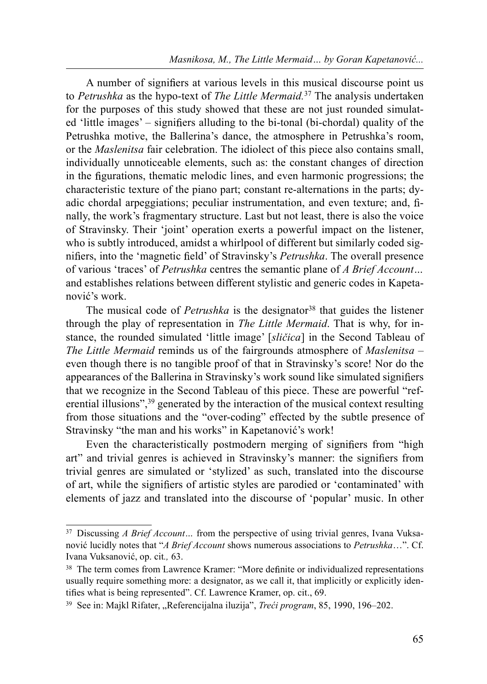A number of signifiers at various levels in this musical discourse point us to Petrushka as the hypo-text of The Little Mermaid.<sup>37</sup> The analysis undertaken for the purposes of this study showed that these are not just rounded simulated 'little images' – signifiers alluding to the bi-tonal (bi-chordal) quality of the Petrushka motive, the Ballerina's dance, the atmosphere in Petrushka's room, or the Maslenitsa fair celebration. The idiolect of this piece also contains small, individually unnoticeable elements, such as: the constant changes of direction in the gurations, thematic melodic lines, and even harmonic progressions; the characteristic texture of the piano part; constant re-alternations in the parts; dyadic chordal arpeggiations; peculiar instrumentation, and even texture; and, finally, the work's fragmentary structure. Last but not least, there is also the voice of Stravinsky. Their 'joint' operation exerts a powerful impact on the listener, who is subtly introduced, amidst a whirlpool of different but similarly coded signifiers, into the 'magnetic field' of Stravinsky's *Petrushka*. The overall presence of various 'traces' of Petrushka centres the semantic plane of A Brief Account… and establishes relations between different stylistic and generic codes in Kapetanović's work.

The musical code of *Petrushka* is the designator<sup>38</sup> that guides the listener through the play of representation in The Little Mermaid. That is why, for instance, the rounded simulated 'little image' [sličica] in the Second Tableau of The Little Mermaid reminds us of the fairgrounds atmosphere of *Maslenitsa* – even though there is no tangible proof of that in Stravinsky's score! Nor do the appearances of the Ballerina in Stravinsky's work sound like simulated signifiers that we recognize in the Second Tableau of this piece. These are powerful "referential illusions",<sup>39</sup> generated by the interaction of the musical context resulting from those situations and the "over-coding" effected by the subtle presence of Stravinsky "the man and his works" in Kapetanović's work!

Even the characteristically postmodern merging of signifiers from "high art" and trivial genres is achieved in Stravinsky's manner: the signifiers from trivial genres are simulated or 'stylized' as such, translated into the discourse of art, while the signifiers of artistic styles are parodied or 'contaminated' with elements of jazz and translated into the discourse of 'popular' music. In other

 $37$  Discussing *A Brief Account*... from the perspective of using trivial genres, Ivana Vuksanović lucidly notes that "A Brief Account shows numerous associations to Petrushka...". Cf. Ivana Vuksanović, op. cit., 63.

<sup>&</sup>lt;sup>38</sup> The term comes from Lawrence Kramer: "More definite or individualized representations usually require something more: a designator, as we call it, that implicitly or explicitly identifies what is being represented". Cf. Lawrence Kramer, op. cit., 69.

<sup>&</sup>lt;sup>39</sup> See in: Majkl Rifater, "Referencijalna iluzija", *Treći program*, 85, 1990, 196–202.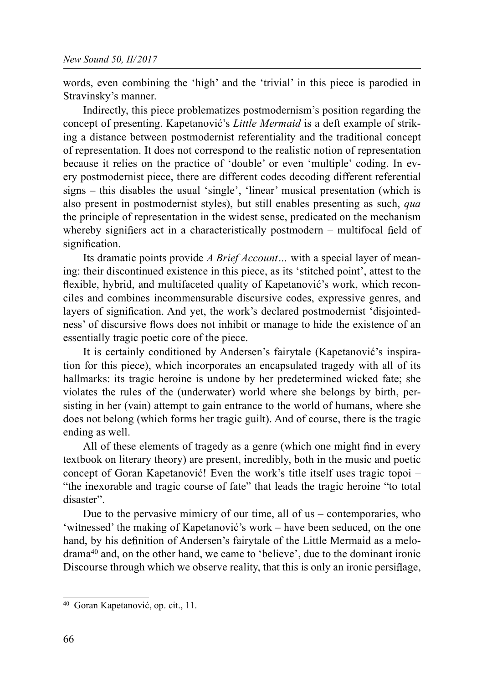words, even combining the 'high' and the 'trivial' in this piece is parodied in Stravinsky's manner.

Indirectly, this piece problematizes postmodernism's position regarding the concept of presenting. Kapetanović's *Little Mermaid* is a deft example of striking a distance between postmodernist referentiality and the traditional concept of representation. It does not correspond to the realistic notion of representation because it relies on the practice of 'double' or even 'multiple' coding. In every postmodernist piece, there are different codes decoding different referential signs – this disables the usual 'single', 'linear' musical presentation (which is also present in postmodernist styles), but still enables presenting as such, qua the principle of representation in the widest sense, predicated on the mechanism whereby signifiers act in a characteristically postmodern – multifocal field of signification.

Its dramatic points provide *A Brief Account*... with a special layer of meaning: their discontinued existence in this piece, as its 'stitched point', attest to the flexible, hybrid, and multifaceted quality of Kapetanović's work, which reconciles and combines incommensurable discursive codes, expressive genres, and layers of signification. And yet, the work's declared postmodernist 'disiointedness' of discursive flows does not inhibit or manage to hide the existence of an essentially tragic poetic core of the piece.

It is certainly conditioned by Andersen's fairytale (Kapetanović's inspiration for this piece), which incorporates an encapsulated tragedy with all of its hallmarks: its tragic heroine is undone by her predetermined wicked fate; she violates the rules of the (underwater) world where she belongs by birth, persisting in her (vain) attempt to gain entrance to the world of humans, where she does not belong (which forms her tragic guilt). And of course, there is the tragic ending as well.

All of these elements of tragedy as a genre (which one might find in every textbook on literary theory) are present, incredibly, both in the music and poetic concept of Goran Kapetanović! Even the work's title itself uses tragic topoi – "the inexorable and tragic course of fate" that leads the tragic heroine "to total disaster".

Due to the pervasive mimicry of our time, all of us – contemporaries, who 'witnessed' the making of Kapetanović's work – have been seduced, on the one hand, by his definition of Andersen's fairytale of the Little Mermaid as a melodrama40 and, on the other hand, we came to 'believe', due to the dominant ironic Discourse through which we observe reality, that this is only an ironic persifiage,

<sup>40</sup> Goran Kapetanović, op. cit., 11.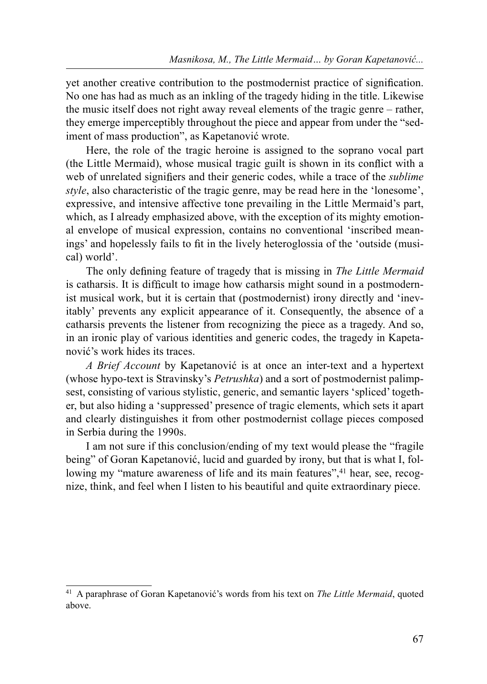yet another creative contribution to the postmodernist practice of signification. No one has had as much as an inkling of the tragedy hiding in the title. Likewise the music itself does not right away reveal elements of the tragic genre – rather, they emerge imperceptibly throughout the piece and appear from under the "sediment of mass production", as Kapetanović wrote.

Here, the role of the tragic heroine is assigned to the soprano vocal part  $($ the Little Mermaid), whose musical tragic guilt is shown in its conflict with a web of unrelated signifiers and their generic codes, while a trace of the *sublime* style, also characteristic of the tragic genre, may be read here in the 'lonesome', expressive, and intensive affective tone prevailing in the Little Mermaid's part, which, as I already emphasized above, with the exception of its mighty emotional envelope of musical expression, contains no conventional 'inscribed meanings' and hopelessly fails to fit in the lively heteroglossia of the 'outside (musical) world'.

The only defining feature of tragedy that is missing in The Little Mermaid is catharsis. It is difficult to image how catharsis might sound in a postmodernist musical work, but it is certain that (postmodernist) irony directly and 'inevitably' prevents any explicit appearance of it. Consequently, the absence of a catharsis prevents the listener from recognizing the piece as a tragedy. And so, in an ironic play of various identities and generic codes, the tragedy in Kapetanović's work hides its traces.

A Brief Account by Kapetanović is at once an inter-text and a hypertext (whose hypo-text is Stravinsky's Petrushka) and a sort of postmodernist palimpsest, consisting of various stylistic, generic, and semantic layers 'spliced' together, but also hiding a 'suppressed' presence of tragic elements, which sets it apart and clearly distinguishes it from other postmodernist collage pieces composed in Serbia during the 1990s.

I am not sure if this conclusion/ending of my text would please the "fragile being" of Goran Kapetanović, lucid and guarded by irony, but that is what I, following my "mature awareness of life and its main features",<sup>41</sup> hear, see, recognize, think, and feel when I listen to his beautiful and quite extraordinary piece.

<sup>&</sup>lt;sup>41</sup> A paraphrase of Goran Kapetanović's words from his text on *The Little Mermaid*, quoted above.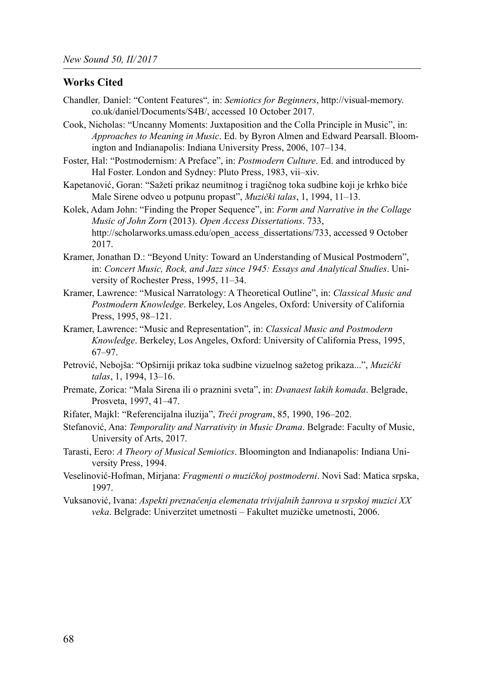#### Works Cited

- Chandler, Daniel: "Content Features", in: Semiotics for Beginners, http://visual-memory. co.uk/daniel/Documents/S4B/, accessed 10 October 2017.
- Cook, Nicholas: "Uncanny Moments: Juxtaposition and the Colla Principle in Music", in: Approaches to Meaning in Music. Ed. by Byron Almen and Edward Pearsall. Bloomington and Indianapolis: Indiana University Press, 2006, 107–134.
- Foster, Hal: "Postmodernism: A Preface", in: Postmodern Culture. Ed. and introduced by Hal Foster. London and Sydney: Pluto Press, 1983, vii–xiv.
- Kapetanović, Goran: "Sažeti prikaz neumitnog i tragičnog toka sudbine koji je krhko biće Male Sirene odveo u potpunu propast", Muzički talas, 1, 1994, 11–13.
- Kolek, Adam John: "Finding the Proper Sequence", in: Form and Narrative in the Collage Music of John Zorn (2013). Open Access Dissertations. 733, http://scholarworks.umass.edu/open\_access\_dissertations/733, accessed 9 October 2017.
- Kramer, Jonathan D.: "Beyond Unity: Toward an Understanding of Musical Postmodern", in: Concert Music, Rock, and Jazz since 1945: Essays and Analytical Studies. University of Rochester Press, 1995, 11–34.
- Kramer, Lawrence: "Musical Narratology: A Theoretical Outline", in: Classical Music and Postmodern Knowledge. Berkeley, Los Angeles, Oxford: University of California Press, 1995, 98–121.
- Kramer, Lawrence: "Music and Representation", in: Classical Music and Postmodern Knowledge. Berkeley, Los Angeles, Oxford: University of California Press, 1995, 67–97.
- Petrović, Nebojša: "Opširniji prikaz toka sudbine vizuelnog sažetog prikaza...", Muzički talas, 1, 1994, 13–16.
- Premate, Zorica: "Mala Sirena ili o praznini sveta", in: *Dvanaest lakih komada*. Belgrade, Prosveta, 1997, 41–47.
- Rifater, Majkl: "Referencijalna iluzija", Treći program, 85, 1990, 196-202.
- Stefanović, Ana: Temporality and Narrativity in Music Drama. Belgrade: Faculty of Music, University of Arts, 2017.
- Tarasti, Eero: A Theory of Musical Semiotics. Bloomington and Indianapolis: Indiana University Press, 1994.
- Veselinović-Hofman, Mirjana: Fragmenti o muzičkoj postmoderni. Novi Sad: Matica srpska, 1997.
- Vuksanović, Ivana: Aspekti preznačenja elemenata trivijalnih žanrova u srpskoj muzici XX veka. Belgrade: Univerzitet umetnosti – Fakultet muzičke umetnosti, 2006.